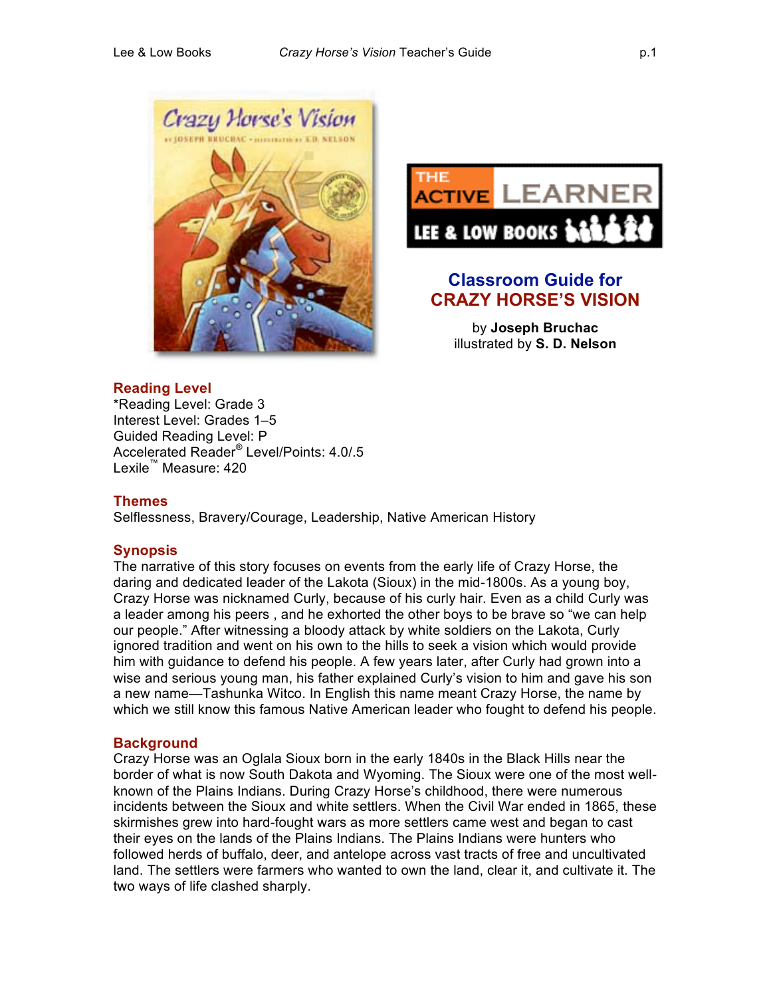



# **Classroom Guide for CRAZY HORSE'S VISION**

by **Joseph Bruchac** illustrated by **S. D. Nelson**

# **Reading Level**

\*Reading Level: Grade 3 Interest Level: Grades 1–5 Guided Reading Level: P Accelerated Reader® Level/Points: 4.0/.5 Lexile™ Measure: 420

#### **Themes**

Selflessness, Bravery/Courage, Leadership, Native American History

# **Synopsis**

The narrative of this story focuses on events from the early life of Crazy Horse, the daring and dedicated leader of the Lakota (Sioux) in the mid-1800s. As a young boy, Crazy Horse was nicknamed Curly, because of his curly hair. Even as a child Curly was a leader among his peers , and he exhorted the other boys to be brave so "we can help our people." After witnessing a bloody attack by white soldiers on the Lakota, Curly ignored tradition and went on his own to the hills to seek a vision which would provide him with guidance to defend his people. A few years later, after Curly had grown into a wise and serious young man, his father explained Curly's vision to him and gave his son a new name—Tashunka Witco. In English this name meant Crazy Horse, the name by which we still know this famous Native American leader who fought to defend his people.

# **Background**

Crazy Horse was an Oglala Sioux born in the early 1840s in the Black Hills near the border of what is now South Dakota and Wyoming. The Sioux were one of the most wellknown of the Plains Indians. During Crazy Horse's childhood, there were numerous incidents between the Sioux and white settlers. When the Civil War ended in 1865, these skirmishes grew into hard-fought wars as more settlers came west and began to cast their eyes on the lands of the Plains Indians. The Plains Indians were hunters who followed herds of buffalo, deer, and antelope across vast tracts of free and uncultivated land. The settlers were farmers who wanted to own the land, clear it, and cultivate it. The two ways of life clashed sharply.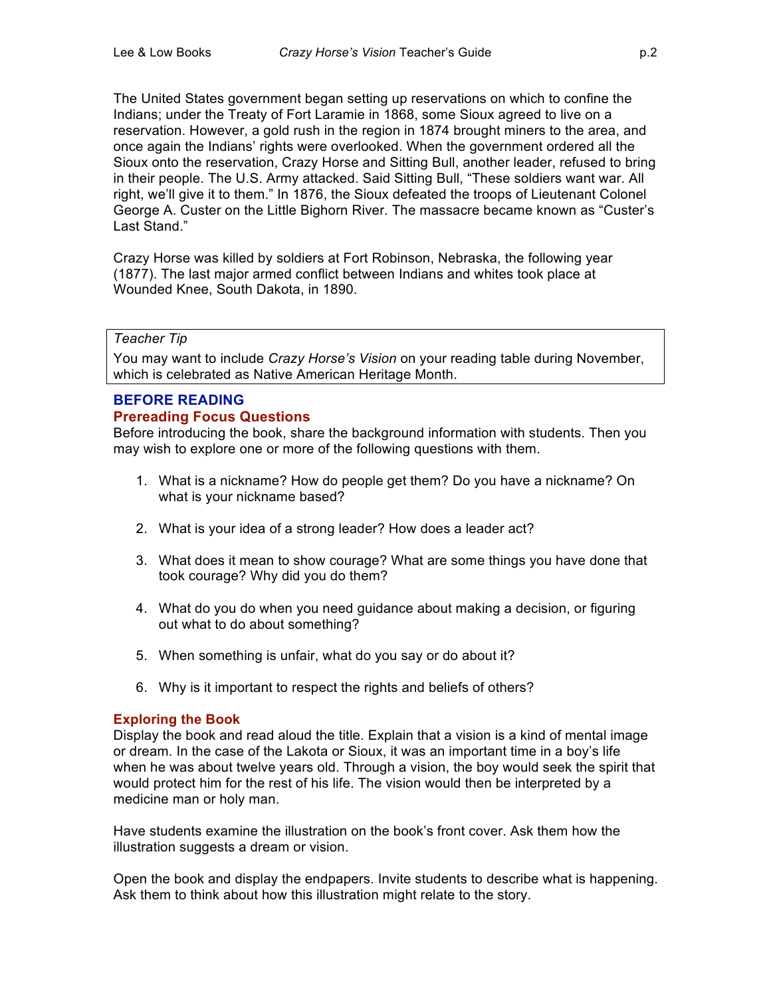The United States government began setting up reservations on which to confine the Indians; under the Treaty of Fort Laramie in 1868, some Sioux agreed to live on a reservation. However, a gold rush in the region in 1874 brought miners to the area, and once again the Indians' rights were overlooked. When the government ordered all the Sioux onto the reservation, Crazy Horse and Sitting Bull, another leader, refused to bring in their people. The U.S. Army attacked. Said Sitting Bull, "These soldiers want war. All right, we'll give it to them." In 1876, the Sioux defeated the troops of Lieutenant Colonel George A. Custer on the Little Bighorn River. The massacre became known as "Custer's Last Stand."

Crazy Horse was killed by soldiers at Fort Robinson, Nebraska, the following year (1877). The last major armed conflict between Indians and whites took place at Wounded Knee, South Dakota, in 1890.

#### *Teacher Tip*

You may want to include *Crazy Horse's Vision* on your reading table during November, which is celebrated as Native American Heritage Month.

# **BEFORE READING**

#### **Prereading Focus Questions**

Before introducing the book, share the background information with students. Then you may wish to explore one or more of the following questions with them.

- 1. What is a nickname? How do people get them? Do you have a nickname? On what is your nickname based?
- 2. What is your idea of a strong leader? How does a leader act?
- 3. What does it mean to show courage? What are some things you have done that took courage? Why did you do them?
- 4. What do you do when you need guidance about making a decision, or figuring out what to do about something?
- 5. When something is unfair, what do you say or do about it?
- 6. Why is it important to respect the rights and beliefs of others?

#### **Exploring the Book**

Display the book and read aloud the title. Explain that a vision is a kind of mental image or dream. In the case of the Lakota or Sioux, it was an important time in a boy's life when he was about twelve years old. Through a vision, the boy would seek the spirit that would protect him for the rest of his life. The vision would then be interpreted by a medicine man or holy man.

Have students examine the illustration on the book's front cover. Ask them how the illustration suggests a dream or vision.

Open the book and display the endpapers. Invite students to describe what is happening. Ask them to think about how this illustration might relate to the story.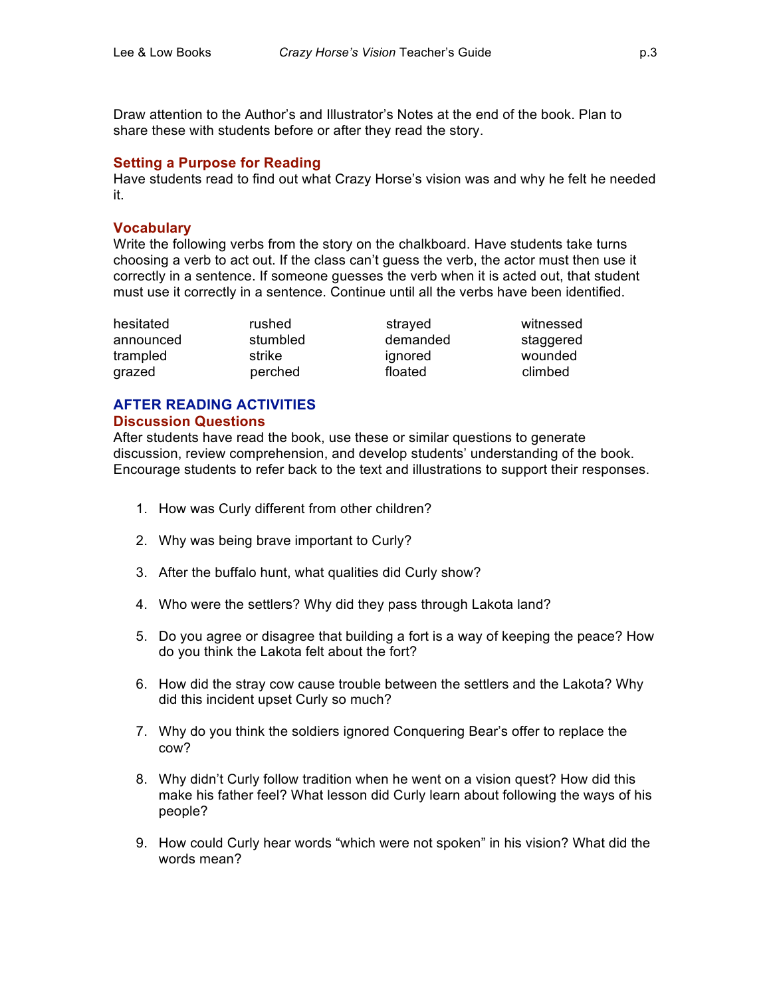Draw attention to the Author's and Illustrator's Notes at the end of the book. Plan to share these with students before or after they read the story.

#### **Setting a Purpose for Reading**

Have students read to find out what Crazy Horse's vision was and why he felt he needed it.

#### **Vocabulary**

Write the following verbs from the story on the chalkboard. Have students take turns choosing a verb to act out. If the class can't guess the verb, the actor must then use it correctly in a sentence. If someone guesses the verb when it is acted out, that student must use it correctly in a sentence. Continue until all the verbs have been identified.

hesitated **rushed** strayed witnessed

announced stumbled demanded staggered trampled strike ignored wounded grazed **perched** floated climbed

#### **AFTER READING ACTIVITIES Discussion Questions**

After students have read the book, use these or similar questions to generate discussion, review comprehension, and develop students' understanding of the book. Encourage students to refer back to the text and illustrations to support their responses.

- 1. How was Curly different from other children?
- 2. Why was being brave important to Curly?
- 3. After the buffalo hunt, what qualities did Curly show?
- 4. Who were the settlers? Why did they pass through Lakota land?
- 5. Do you agree or disagree that building a fort is a way of keeping the peace? How do you think the Lakota felt about the fort?
- 6. How did the stray cow cause trouble between the settlers and the Lakota? Why did this incident upset Curly so much?
- 7. Why do you think the soldiers ignored Conquering Bear's offer to replace the cow?
- 8. Why didn't Curly follow tradition when he went on a vision quest? How did this make his father feel? What lesson did Curly learn about following the ways of his people?
- 9. How could Curly hear words "which were not spoken" in his vision? What did the words mean?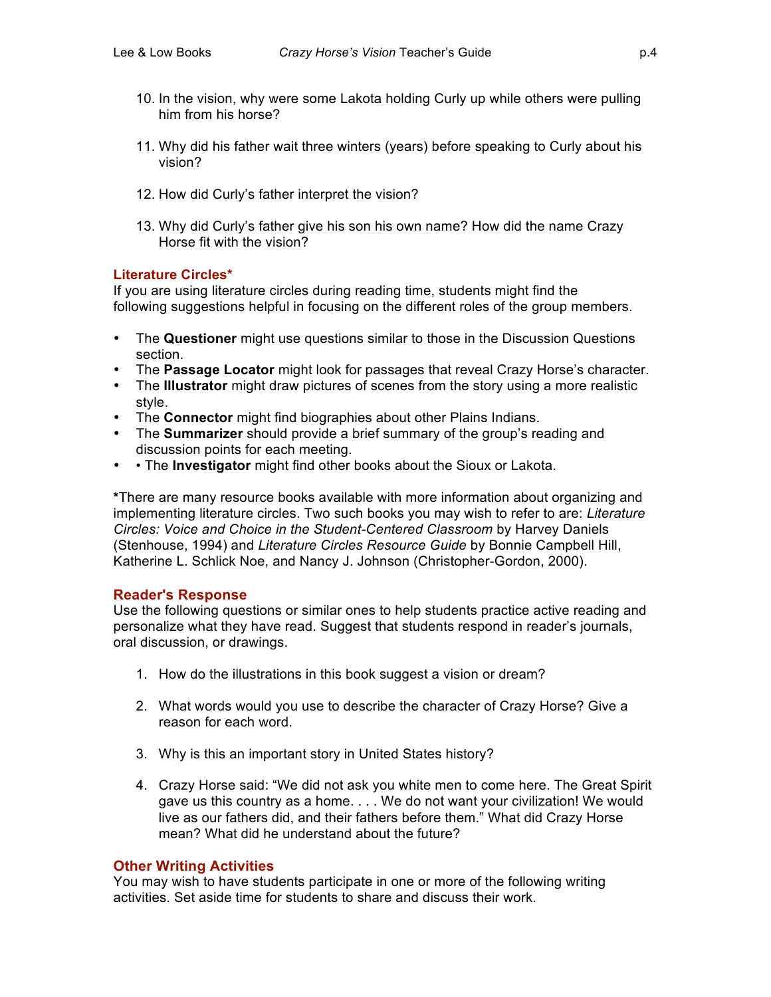- 10. In the vision, why were some Lakota holding Curly up while others were pulling him from his horse?
- 11. Why did his father wait three winters (years) before speaking to Curly about his vision?
- 12. How did Curly's father interpret the vision?
- 13. Why did Curly's father give his son his own name? How did the name Crazy Horse fit with the vision?

#### **Literature Circles\***

If you are using literature circles during reading time, students might find the following suggestions helpful in focusing on the different roles of the group members.

- The **Questioner** might use questions similar to those in the Discussion Questions section.
- The **Passage Locator** might look for passages that reveal Crazy Horse's character.
- The **Illustrator** might draw pictures of scenes from the story using a more realistic style.
- The **Connector** might find biographies about other Plains Indians.
- The **Summarizer** should provide a brief summary of the group's reading and discussion points for each meeting.
- • The **Investigator** might find other books about the Sioux or Lakota.

**\***There are many resource books available with more information about organizing and implementing literature circles. Two such books you may wish to refer to are: *Literature Circles: Voice and Choice in the Student-Centered Classroom* by Harvey Daniels (Stenhouse, 1994) and *Literature Circles Resource Guide* by Bonnie Campbell Hill, Katherine L. Schlick Noe, and Nancy J. Johnson (Christopher-Gordon, 2000).

# **Reader's Response**

Use the following questions or similar ones to help students practice active reading and personalize what they have read. Suggest that students respond in reader's journals, oral discussion, or drawings.

- 1. How do the illustrations in this book suggest a vision or dream?
- 2. What words would you use to describe the character of Crazy Horse? Give a reason for each word.
- 3. Why is this an important story in United States history?
- 4. Crazy Horse said: "We did not ask you white men to come here. The Great Spirit gave us this country as a home. . . . We do not want your civilization! We would live as our fathers did, and their fathers before them." What did Crazy Horse mean? What did he understand about the future?

# **Other Writing Activities**

You may wish to have students participate in one or more of the following writing activities. Set aside time for students to share and discuss their work.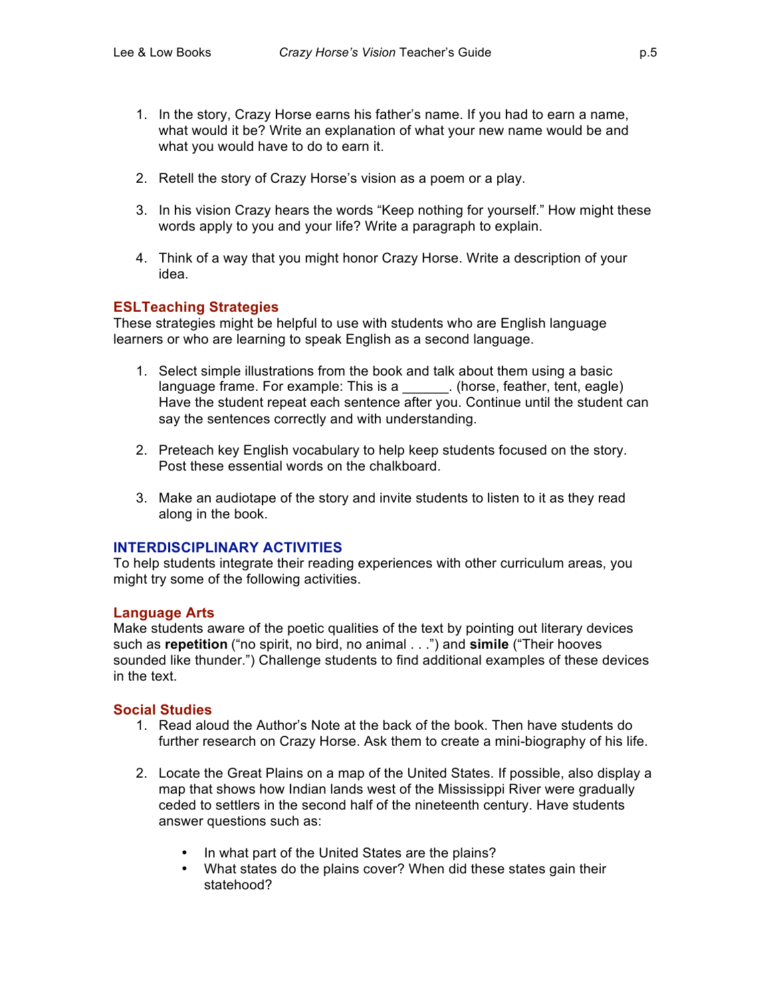- 1. In the story, Crazy Horse earns his father's name. If you had to earn a name, what would it be? Write an explanation of what your new name would be and what you would have to do to earn it.
- 2. Retell the story of Crazy Horse's vision as a poem or a play.
- 3. In his vision Crazy hears the words "Keep nothing for yourself." How might these words apply to you and your life? Write a paragraph to explain.
- 4. Think of a way that you might honor Crazy Horse. Write a description of your idea.

# **ESLTeaching Strategies**

These strategies might be helpful to use with students who are English language learners or who are learning to speak English as a second language.

- 1. Select simple illustrations from the book and talk about them using a basic language frame. For example: This is a \_\_\_\_\_\_. (horse, feather, tent, eagle) Have the student repeat each sentence after you. Continue until the student can say the sentences correctly and with understanding.
- 2. Preteach key English vocabulary to help keep students focused on the story. Post these essential words on the chalkboard.
- 3. Make an audiotape of the story and invite students to listen to it as they read along in the book.

# **INTERDISCIPLINARY ACTIVITIES**

To help students integrate their reading experiences with other curriculum areas, you might try some of the following activities.

#### **Language Arts**

Make students aware of the poetic qualities of the text by pointing out literary devices such as **repetition** ("no spirit, no bird, no animal . . .") and **simile** ("Their hooves sounded like thunder.") Challenge students to find additional examples of these devices in the text.

#### **Social Studies**

- 1. Read aloud the Author's Note at the back of the book. Then have students do further research on Crazy Horse. Ask them to create a mini-biography of his life.
- 2. Locate the Great Plains on a map of the United States. If possible, also display a map that shows how Indian lands west of the Mississippi River were gradually ceded to settlers in the second half of the nineteenth century. Have students answer questions such as:
	- In what part of the United States are the plains?
	- What states do the plains cover? When did these states gain their statehood?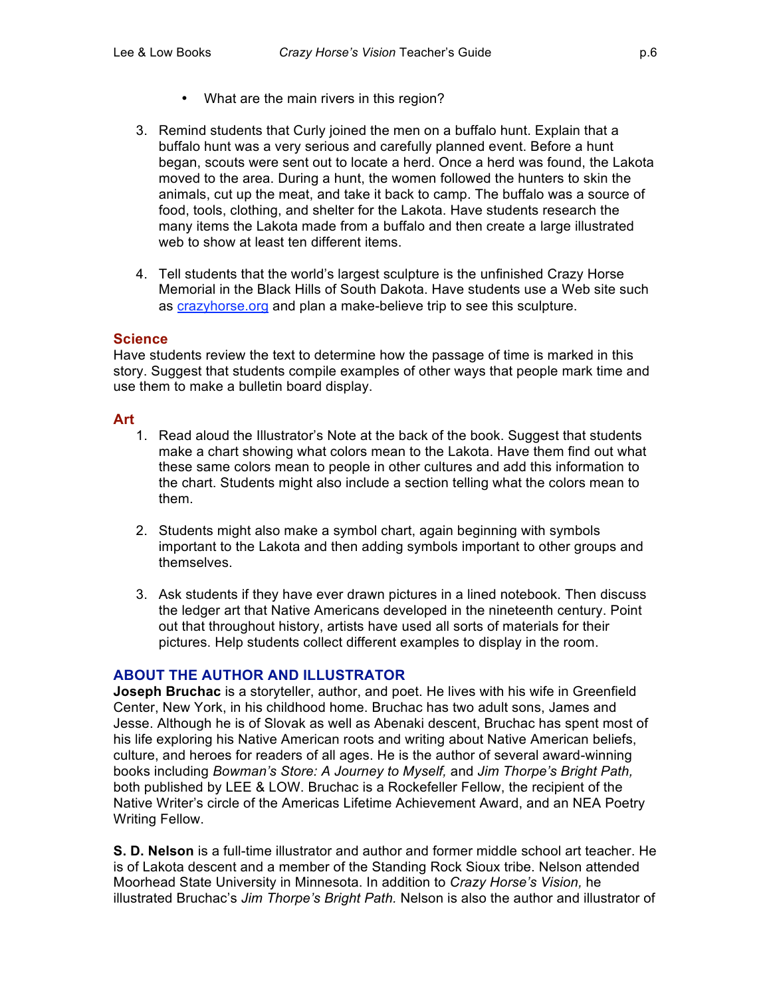- What are the main rivers in this region?
- 3. Remind students that Curly joined the men on a buffalo hunt. Explain that a buffalo hunt was a very serious and carefully planned event. Before a hunt began, scouts were sent out to locate a herd. Once a herd was found, the Lakota moved to the area. During a hunt, the women followed the hunters to skin the animals, cut up the meat, and take it back to camp. The buffalo was a source of food, tools, clothing, and shelter for the Lakota. Have students research the many items the Lakota made from a buffalo and then create a large illustrated web to show at least ten different items.
- 4. Tell students that the world's largest sculpture is the unfinished Crazy Horse Memorial in the Black Hills of South Dakota. Have students use a Web site such as crazyhorse.org and plan a make-believe trip to see this sculpture.

#### **Science**

Have students review the text to determine how the passage of time is marked in this story. Suggest that students compile examples of other ways that people mark time and use them to make a bulletin board display.

#### **Art**

- 1. Read aloud the Illustrator's Note at the back of the book. Suggest that students make a chart showing what colors mean to the Lakota. Have them find out what these same colors mean to people in other cultures and add this information to the chart. Students might also include a section telling what the colors mean to them.
- 2. Students might also make a symbol chart, again beginning with symbols important to the Lakota and then adding symbols important to other groups and themselves.
- 3. Ask students if they have ever drawn pictures in a lined notebook. Then discuss the ledger art that Native Americans developed in the nineteenth century. Point out that throughout history, artists have used all sorts of materials for their pictures. Help students collect different examples to display in the room.

# **ABOUT THE AUTHOR AND ILLUSTRATOR**

**Joseph Bruchac** is a storyteller, author, and poet. He lives with his wife in Greenfield Center, New York, in his childhood home. Bruchac has two adult sons, James and Jesse. Although he is of Slovak as well as Abenaki descent, Bruchac has spent most of his life exploring his Native American roots and writing about Native American beliefs, culture, and heroes for readers of all ages. He is the author of several award-winning books including *Bowman's Store: A Journey to Myself,* and *Jim Thorpe's Bright Path,* both published by LEE & LOW. Bruchac is a Rockefeller Fellow, the recipient of the Native Writer's circle of the Americas Lifetime Achievement Award, and an NEA Poetry Writing Fellow.

**S. D. Nelson** is a full-time illustrator and author and former middle school art teacher. He is of Lakota descent and a member of the Standing Rock Sioux tribe. Nelson attended Moorhead State University in Minnesota. In addition to *Crazy Horse's Vision,* he illustrated Bruchac's *Jim Thorpe's Bright Path.* Nelson is also the author and illustrator of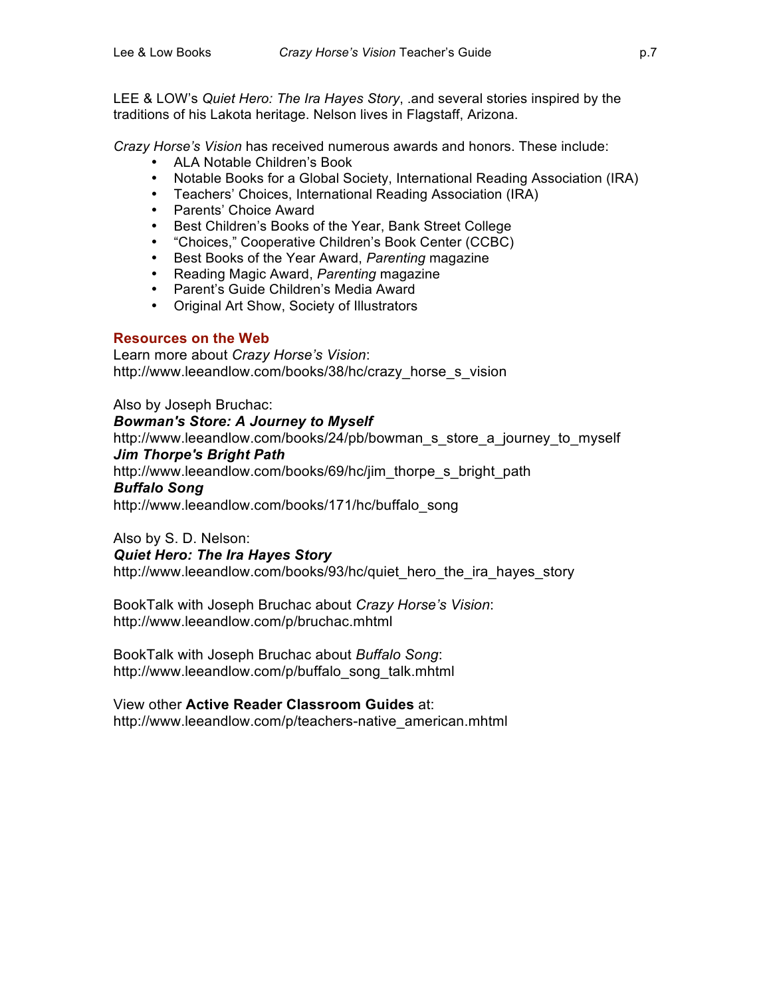LEE & LOW's *Quiet Hero: The Ira Hayes Story*, .and several stories inspired by the traditions of his Lakota heritage. Nelson lives in Flagstaff, Arizona.

*Crazy Horse's Vision* has received numerous awards and honors. These include:

- ALA Notable Children's Book
- Notable Books for a Global Society, International Reading Association (IRA)
- Teachers' Choices, International Reading Association (IRA)
- Parents' Choice Award
- Best Children's Books of the Year, Bank Street College
- "Choices," Cooperative Children's Book Center (CCBC)
- Best Books of the Year Award, *Parenting* magazine
- Reading Magic Award, *Parenting* magazine
- Parent's Guide Children's Media Award
- Original Art Show, Society of Illustrators

# **Resources on the Web**

Learn more about *Crazy Horse's Vision*: http://www.leeandlow.com/books/38/hc/crazy\_horse\_s\_vision

Also by Joseph Bruchac: *Bowman's Store: A Journey to Myself* http://www.leeandlow.com/books/24/pb/bowman\_s\_store\_a\_journey\_to\_myself *Jim Thorpe's Bright Path* http://www.leeandlow.com/books/69/hc/jim\_thorpe\_s\_bright\_path *Buffalo Song* http://www.leeandlow.com/books/171/hc/buffalo\_song

Also by S. D. Nelson:

# *Quiet Hero: The Ira Hayes Story*

http://www.leeandlow.com/books/93/hc/quiet\_hero\_the\_ira\_hayes\_story

BookTalk with Joseph Bruchac about *Crazy Horse's Vision*: http://www.leeandlow.com/p/bruchac.mhtml

BookTalk with Joseph Bruchac about *Buffalo Song*: http://www.leeandlow.com/p/buffalo\_song\_talk.mhtml

View other **Active Reader Classroom Guides** at: http://www.leeandlow.com/p/teachers-native\_american.mhtml